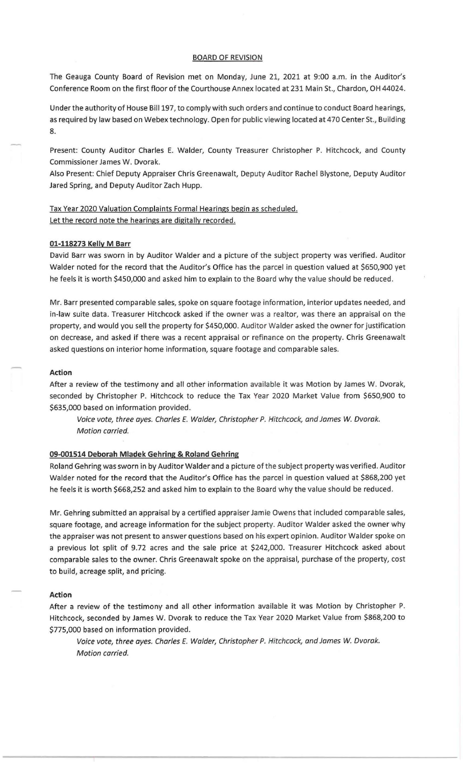#### BOARD OF REVISION

The Geauga County Board of Revision met on Monday, June 21, 2021 at 9:00 a.m. in the Auditor's Conference Room on the first floor of the Courthouse Annex located at 231 Main St., Chardon, OH 44024.

Under the authority of House Bill 197, to comply with such orders and continue to conduct Board hearings, as required by law based on Webex technology. Open for public viewing located at 470 Center St., Building 8.

Present: County Auditor Charles E. Walder, County Treasurer Christopher P. Hitchcock, and County Commissioner James W. Dvorak.

Also Present: Chief Deputy Appraiser Chris Greenawalt, Deputy Auditor Rachel Blystone, Deputy Auditor Jared Spring, and Deputy Auditor Zach Hupp.

# Tax Year 2020 Valuation Complaints Formal Hearings begin as scheduled. Let the record note the hearings are digitally recorded.

#### **01-118273 Kelly M Barr**

David Barr was sworn in by Auditor Walder and a picture of the subject property was verified. Auditor Walder noted for the record that the Auditor's Office has the parcel in question valued at \$650,900 yet he feels it is worth \$450,000 and asked him to explain to the Board why the value should be reduced.

Mr. Barr presented comparable sales, spoke on square footage information, interior updates needed, and in-law suite data. Treasurer Hitchcock asked if the owner was a realtor, was there an appraisal on the property, and would you sell the property for \$450,000. Auditor Walder asked the owner for justification on decrease, and asked if there was a recent appraisal or refinance on the property. Chris Greenawalt asked questions on interior home information, square footage and comparable sales.

# **Action**

After a review of the testimony and all other information available it was Motion by James W. Dvorak, seconded by Christopher P. Hitchcock to reduce the Tax Year 2020 Market Value from \$650,900 to \$635,000 based on information provided.

Voice vote, three ayes. Charles E. Walder, Christopher P. Hitchcock, and James W. Dvorak. Motion carried.

## **09-001514 Deborah Mladek Gehring & Roland Gehring**

Roland Gehring was sworn in by Auditor Walder and a picture of the subject property was verified. Auditor Walder noted for the record that the Auditor's Office has the parcel in question valued at \$868,200 yet he feels it is worth \$668,252 and asked him to explain to the Board why the value should be reduced.

Mr. Gehring submitted an appraisal by a certified appraiser Jamie Owens that included comparable sales, square footage, and acreage information for the subject property. Auditor Walder asked the owner why the appraiser was not present to answer questions based on his expert opinion. Auditor Walder spoke on a previous lot split of 9.72 acres and the sale price at \$242,000. Treasurer Hitchcock asked about comparable sales to the owner. Chris Greenawalt spoke on the appraisal, purchase of the property, cost to build, acreage split, and pricing.

#### **Action**

After a review of the testimony and all other information available it was Motion by Christopher P. Hitchcock, seconded by James W. Dvorak to reduce the Tax Year 2020 Market Value from \$868,200 to \$775,000 based on information provided.

Voice vote, three ayes. Charles E. Walder, Christopher P. Hitchcock, and James W. Dvorak. Motion carried.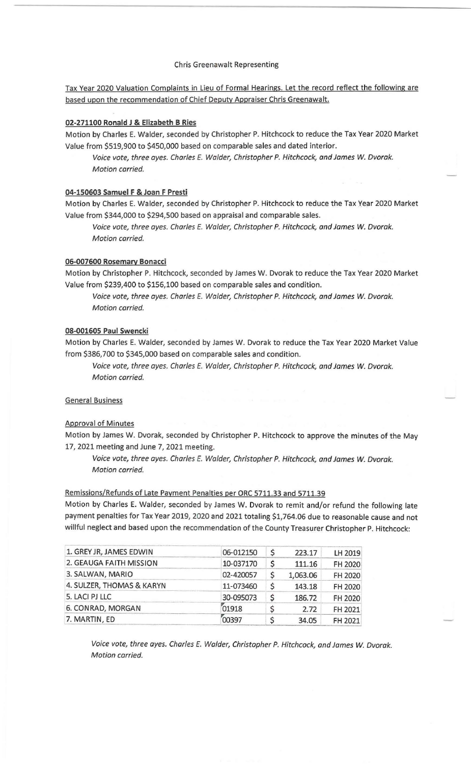### Chris Greenawalt Representing

# Tax Year 2020 Valuation Complaints in Lieu of Formal Hearings. Let the record reflect the following are based upon the recommendation of Chief Deputy Appraiser Chris Greenawalt.

## 02-271100 Ronald J & Elizabeth B Ries

Motion by Charles E. Walder, seconded by Christopher P. Hitchcock to reduce the Tax Year 2020 Market Value from \$519,900 to \$450,000 based on comparable sales and dated interior.

Voice vote, three oyes. Charles E. Walder, Christopher P. Hitchcock, and James W. Dvorak. Motion carried.

# 04-150603 Samuel F & Joan F Presti

Motion by Charles E. Walder, seconded by Christopher P. Hitchcock to reduce the Tax Year 2020 Market Value from \$344,000 to \$294,500 based on appraisal and comparable sales.

Voice vote, three ayes. Charles E. Walder, Christopher P. Hitchcock, and James W. Dvorak. Motion carried.

#### 06-007600 Rosemary Bonacci

Motion by Christopher P. Hitchcock, seconded by James W. Dvorak to reduce the Tax Year 2020 Market Value from \$239,400 to \$156,100 based on comparable sales and condition.

Voice vote, three ayes. Charles E. Walder, Christopher P. Hitchcock, and James *W.* Dvorak. Motion carried.

## 08-001605 Paul Swencki

Motion by Charles E. Walder, seconded by James W. Dvorak to reduce the Tax Year 2020 Market Value from \$386,700 to \$345,000 based on comparable sales and condition.

Voice vote, three ayes. Charles E. Walder, Christopher P. Hitchcock, and James W. Dvorak. Motion carried.

# General Business

#### Approval of Minutes

Motion by James W. Dvorak, seconded by Christopher P. Hitchcock to approve the minutes of the May 17, 2021 meeting and June 7, 2021 meeting.

Voice vote, three ayes. Charles E. Walder, Christopher P. Hitchcock, and James *W.* Dvorak. Motion carried.

### Remissions/Refunds of Late Payment Penalties per ORC 5711.33 and 5711.39

Motion by Charles E. Walder, seconded by James W. Dvorak to remit and/or refund the following late payment penalties for Tax Year 2019, 2020 and 2021 totaling \$1,764.06 due to reasonable cause and not willful neglect and based upon the recommendation of the County Treasurer Christopher P. Hitchcock:<br>1 GREY IR JAMES EDWIN

| 1. GREY JR, JAMES EDWIN   | 06-012150 | \$ | 223.17   | LH 2019 |
|---------------------------|-----------|----|----------|---------|
| 2. GEAUGA FAITH MISSION   | 10-037170 | \$ | 111.16   | FH 2020 |
| 3. SALWAN, MARIO          | 02-420057 | \$ | 1,063.06 | FH 2020 |
| 4. SULZER, THOMAS & KARYN | 11-073460 | \$ | 143.18   | FH 2020 |
| 5. LACI PJ LLC            | 30-095073 | \$ | 186.72   | FH 2020 |
| 6. CONRAD, MORGAN         | 01918     | S  | 2.72     | FH 2021 |
| 7. MARTIN, ED             | 00397     |    | 34.05    | FH 2021 |

Voice vote, three ayes. Charles E. Walder, Christopher P. Hitchcock, and James *W.* Dvorak. Motion carried.